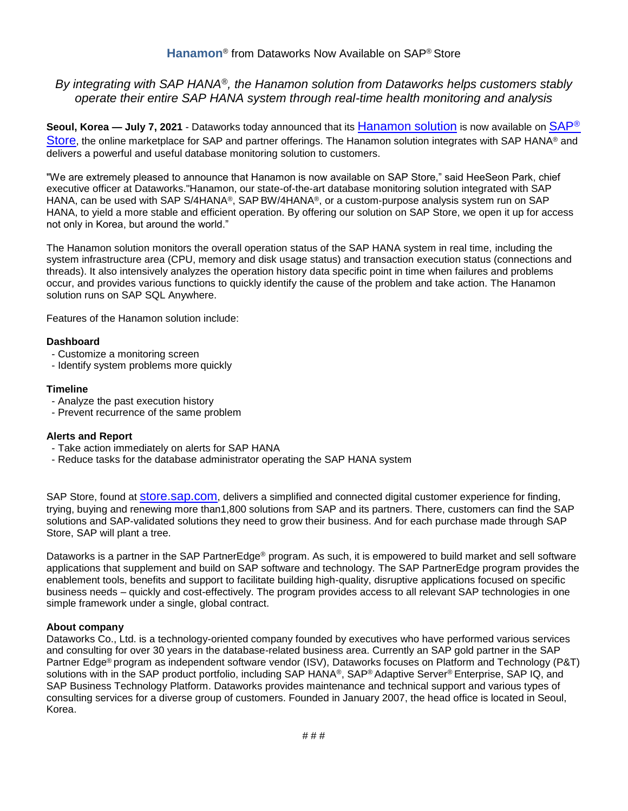# *By integrating with SAP HANA® , the Hanamon solution from Dataworks helps customers stably operate their entire SAP HANA system through real-time health monitoring and analysis*

**Seoul, Korea — July 7, 2021** - Dataworks today announced that its [Hanamon](https://store.sap.com/dcp/en/product/display-0000060016_live_v1/Hanamon) solution is now available on [SAP](https://store.sap.com/en/)® [Store](https://store.sap.com/en/), the online marketplace for SAP and partner offerings. The Hanamon solution integrates with SAP HANA® and delivers a powerful and useful database monitoring solution to customers.

"We are extremely pleased to announce that Hanamon is now available on SAP Store," said HeeSeon Park, chief executive officer at Dataworks."Hanamon, our state-of-the-art database monitoring solution integrated with SAP HANA, can be used with SAP S/4HANA®, SAP BW/4HANA®, or a custom-purpose analysis system run on SAP HANA, to yield a more stable and efficient operation. By offering our solution on SAP Store, we open it up for access not only in Korea, but around the world."

The Hanamon solution monitors the overall operation status of the SAP HANA system in real time, including the system infrastructure area (CPU, memory and disk usage status) and transaction execution status (connections and threads). It also intensively analyzes the operation history data specific point in time when failures and problems occur, and provides various functions to quickly identify the cause of the problem and take action. The Hanamon solution runs on SAP SQL Anywhere.

Features of the Hanamon solution include:

# **Dashboard**

- Customize a monitoring screen
- Identify system problems more quickly

# **Timeline**

- Analyze the past execution history
- Prevent recurrence of the same problem

# **Alerts and Report**

- Take action immediately on alerts for SAP HANA
- Reduce tasks for the database administrator operating the SAP HANA system

SAP Store, found at [store.sap.com](https://store.sap.com/en/), delivers a simplified and connected digital customer experience for finding, trying, buying and renewing more than1,800 solutions from SAP and its partners. There, customers can find the SAP solutions and SAP-validated solutions they need to grow their business. And for each purchase made through SAP Store, SAP will plant a tree.

Dataworks is a partner in the SAP PartnerEdge® program. As such, it is empowered to build market and sell software applications that supplement and build on SAP software and technology. The SAP PartnerEdge program provides the enablement tools, benefits and support to facilitate building high-quality, disruptive applications focused on specific business needs – quickly and cost-effectively. The program provides access to all relevant SAP technologies in one simple framework under a single, global contract.

### **About company**

Dataworks Co., Ltd. is a technology-oriented company founded by executives who have performed various services and consulting for over 30 years in the database-related business area. Currently an SAP gold partner in the SAP Partner Edge® program as independent software vendor (ISV), Dataworks focuses on Platform and Technology (P&T) solutions with in the SAP product portfolio, including SAP HANA®, SAP® Adaptive Server® Enterprise, SAP IQ, and SAP Business Technology Platform. Dataworks provides maintenance and technical support and various types of consulting services for a diverse group of customers. Founded in January 2007, the head office is located in Seoul, Korea.